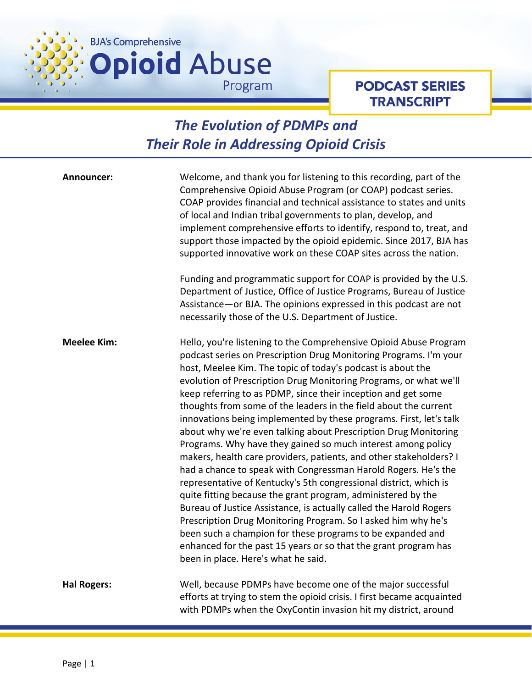

## **PODCAST SERIES TRANSCRIPT**

## *The Evolution of PDMPs and Their Role in Addressing Opioid Crisis*

| Announcer:         | Welcome, and thank you for listening to this recording, part of the<br>Comprehensive Opioid Abuse Program (or COAP) podcast series.<br>COAP provides financial and technical assistance to states and units<br>of local and Indian tribal governments to plan, develop, and<br>implement comprehensive efforts to identify, respond to, treat, and<br>support those impacted by the opioid epidemic. Since 2017, BJA has<br>supported innovative work on these COAP sites across the nation.<br>Funding and programmatic support for COAP is provided by the U.S.<br>Department of Justice, Office of Justice Programs, Bureau of Justice<br>Assistance-or BJA. The opinions expressed in this podcast are not<br>necessarily those of the U.S. Department of Justice.                                                                                                                                                                                                                                                                                                                                                                                                                                               |
|--------------------|----------------------------------------------------------------------------------------------------------------------------------------------------------------------------------------------------------------------------------------------------------------------------------------------------------------------------------------------------------------------------------------------------------------------------------------------------------------------------------------------------------------------------------------------------------------------------------------------------------------------------------------------------------------------------------------------------------------------------------------------------------------------------------------------------------------------------------------------------------------------------------------------------------------------------------------------------------------------------------------------------------------------------------------------------------------------------------------------------------------------------------------------------------------------------------------------------------------------|
| <b>Meelee Kim:</b> | Hello, you're listening to the Comprehensive Opioid Abuse Program<br>podcast series on Prescription Drug Monitoring Programs. I'm your<br>host, Meelee Kim. The topic of today's podcast is about the<br>evolution of Prescription Drug Monitoring Programs, or what we'll<br>keep referring to as PDMP, since their inception and get some<br>thoughts from some of the leaders in the field about the current<br>innovations being implemented by these programs. First, let's talk<br>about why we're even talking about Prescription Drug Monitoring<br>Programs. Why have they gained so much interest among policy<br>makers, health care providers, patients, and other stakeholders? I<br>had a chance to speak with Congressman Harold Rogers. He's the<br>representative of Kentucky's 5th congressional district, which is<br>quite fitting because the grant program, administered by the<br>Bureau of Justice Assistance, is actually called the Harold Rogers<br>Prescription Drug Monitoring Program. So I asked him why he's<br>been such a champion for these programs to be expanded and<br>enhanced for the past 15 years or so that the grant program has<br>been in place. Here's what he said. |
| <b>Hal Rogers:</b> | Well, because PDMPs have become one of the major successful<br>efforts at trying to stem the opioid crisis. I first became acquainted<br>with PDMPs when the OxyContin invasion hit my district, around                                                                                                                                                                                                                                                                                                                                                                                                                                                                                                                                                                                                                                                                                                                                                                                                                                                                                                                                                                                                              |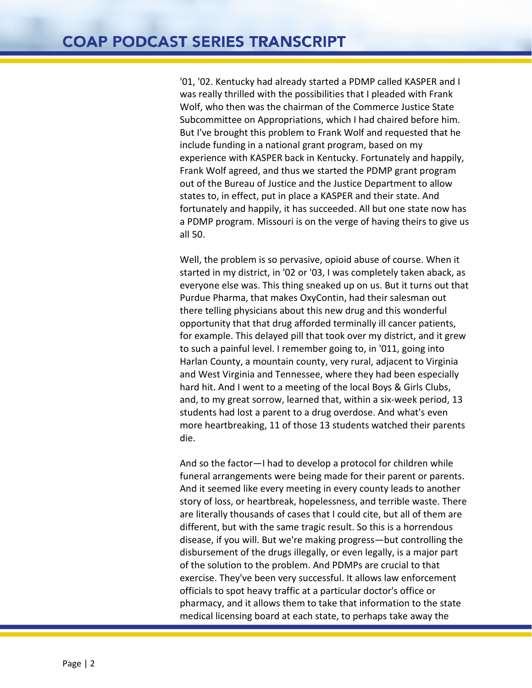'01, '02. Kentucky had already started a PDMP called KASPER and I was really thrilled with the possibilities that I pleaded with Frank Wolf, who then was the chairman of the Commerce Justice State Subcommittee on Appropriations, which I had chaired before him. But I've brought this problem to Frank Wolf and requested that he include funding in a national grant program, based on my experience with KASPER back in Kentucky. Fortunately and happily, Frank Wolf agreed, and thus we started the PDMP grant program out of the Bureau of Justice and the Justice Department to allow states to, in effect, put in place a KASPER and their state. And fortunately and happily, it has succeeded. All but one state now has a PDMP program. Missouri is on the verge of having theirs to give us all 50.

Well, the problem is so pervasive, opioid abuse of course. When it started in my district, in '02 or '03, I was completely taken aback, as everyone else was. This thing sneaked up on us. But it turns out that Purdue Pharma, that makes OxyContin, had their salesman out there telling physicians about this new drug and this wonderful opportunity that that drug afforded terminally ill cancer patients, for example. This delayed pill that took over my district, and it grew to such a painful level. I remember going to, in '011, going into Harlan County, a mountain county, very rural, adjacent to Virginia and West Virginia and Tennessee, where they had been especially hard hit. And I went to a meeting of the local Boys & Girls Clubs, and, to my great sorrow, learned that, within a six-week period, 13 students had lost a parent to a drug overdose. And what's even more heartbreaking, 11 of those 13 students watched their parents die.

And so the factor—I had to develop a protocol for children while funeral arrangements were being made for their parent or parents. And it seemed like every meeting in every county leads to another story of loss, or heartbreak, hopelessness, and terrible waste. There are literally thousands of cases that I could cite, but all of them are different, but with the same tragic result. So this is a horrendous disease, if you will. But we're making progress—but controlling the disbursement of the drugs illegally, or even legally, is a major part of the solution to the problem. And PDMPs are crucial to that exercise. They've been very successful. It allows law enforcement officials to spot heavy traffic at a particular doctor's office or pharmacy, and it allows them to take that information to the state medical licensing board at each state, to perhaps take away the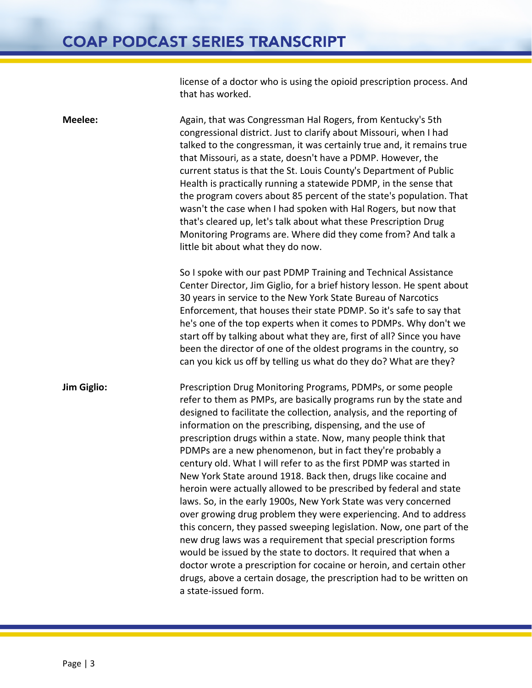license of a doctor who is using the opioid prescription process. And that has worked.

**Meelee:** Again, that was Congressman Hal Rogers, from Kentucky's 5th congressional district. Just to clarify about Missouri, when I had talked to the congressman, it was certainly true and, it remains true that Missouri, as a state, doesn't have a PDMP. However, the current status is that the St. Louis County's Department of Public Health is practically running a statewide PDMP, in the sense that the program covers about 85 percent of the state's population. That wasn't the case when I had spoken with Hal Rogers, but now that that's cleared up, let's talk about what these Prescription Drug Monitoring Programs are. Where did they come from? And talk a little bit about what they do now.

> So I spoke with our past PDMP Training and Technical Assistance Center Director, Jim Giglio, for a brief history lesson. He spent about 30 years in service to the New York State Bureau of Narcotics Enforcement, that houses their state PDMP. So it's safe to say that he's one of the top experts when it comes to PDMPs. Why don't we start off by talking about what they are, first of all? Since you have been the director of one of the oldest programs in the country, so can you kick us off by telling us what do they do? What are they?

**Jim Giglio:** Prescription Drug Monitoring Programs, PDMPs, or some people refer to them as PMPs, are basically programs run by the state and designed to facilitate the collection, analysis, and the reporting of information on the prescribing, dispensing, and the use of prescription drugs within a state. Now, many people think that PDMPs are a new phenomenon, but in fact they're probably a century old. What I will refer to as the first PDMP was started in New York State around 1918. Back then, drugs like cocaine and heroin were actually allowed to be prescribed by federal and state laws. So, in the early 1900s, New York State was very concerned over growing drug problem they were experiencing. And to address this concern, they passed sweeping legislation. Now, one part of the new drug laws was a requirement that special prescription forms would be issued by the state to doctors. It required that when a doctor wrote a prescription for cocaine or heroin, and certain other drugs, above a certain dosage, the prescription had to be written on a state-issued form.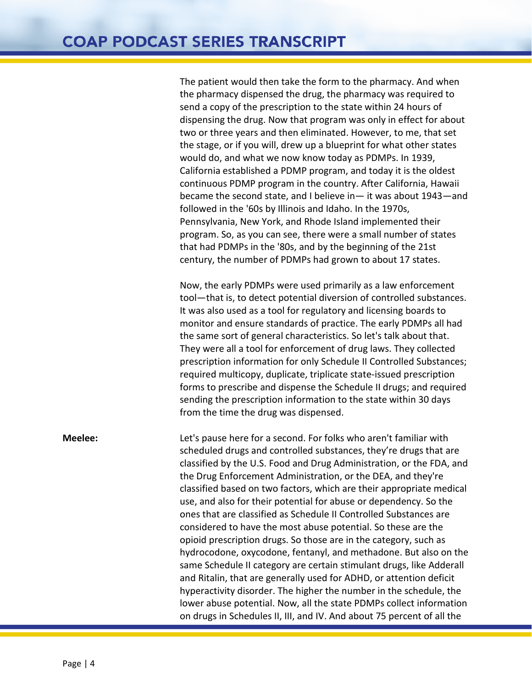The patient would then take the form to the pharmacy. And when the pharmacy dispensed the drug, the pharmacy was required to send a copy of the prescription to the state within 24 hours of dispensing the drug. Now that program was only in effect for about two or three years and then eliminated. However, to me, that set the stage, or if you will, drew up a blueprint for what other states would do, and what we now know today as PDMPs. In 1939, California established a PDMP program, and today it is the oldest continuous PDMP program in the country. After California, Hawaii became the second state, and I believe in— it was about 1943—and followed in the '60s by Illinois and Idaho. In the 1970s, Pennsylvania, New York, and Rhode Island implemented their program. So, as you can see, there were a small number of states that had PDMPs in the '80s, and by the beginning of the 21st century, the number of PDMPs had grown to about 17 states.

Now, the early PDMPs were used primarily as a law enforcement tool—that is, to detect potential diversion of controlled substances. It was also used as a tool for regulatory and licensing boards to monitor and ensure standards of practice. The early PDMPs all had the same sort of general characteristics. So let's talk about that. They were all a tool for enforcement of drug laws. They collected prescription information for only Schedule II Controlled Substances; required multicopy, duplicate, triplicate state-issued prescription forms to prescribe and dispense the Schedule II drugs; and required sending the prescription information to the state within 30 days from the time the drug was dispensed.

**Meelee:** Let's pause here for a second. For folks who aren't familiar with scheduled drugs and controlled substances, they're drugs that are classified by the U.S. Food and Drug Administration, or the FDA, and the Drug Enforcement Administration, or the DEA, and they're classified based on two factors, which are their appropriate medical use, and also for their potential for abuse or dependency. So the ones that are classified as Schedule II Controlled Substances are considered to have the most abuse potential. So these are the opioid prescription drugs. So those are in the category, such as hydrocodone, oxycodone, fentanyl, and methadone. But also on the same Schedule II category are certain stimulant drugs, like Adderall and Ritalin, that are generally used for ADHD, or attention deficit hyperactivity disorder. The higher the number in the schedule, the lower abuse potential. Now, all the state PDMPs collect information on drugs in Schedules II, III, and IV. And about 75 percent of all the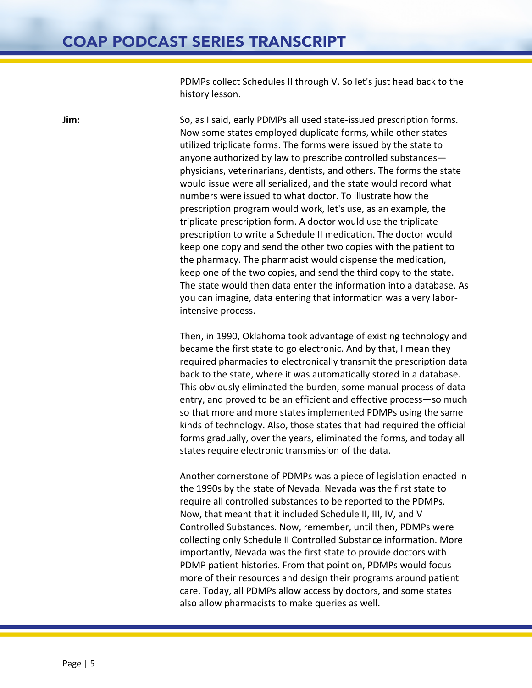PDMPs collect Schedules II through V. So let's just head back to the history lesson.

**Jim:** So, as I said, early PDMPs all used state-issued prescription forms. Now some states employed duplicate forms, while other states utilized triplicate forms. The forms were issued by the state to anyone authorized by law to prescribe controlled substances physicians, veterinarians, dentists, and others. The forms the state would issue were all serialized, and the state would record what numbers were issued to what doctor. To illustrate how the prescription program would work, let's use, as an example, the triplicate prescription form. A doctor would use the triplicate prescription to write a Schedule II medication. The doctor would keep one copy and send the other two copies with the patient to the pharmacy. The pharmacist would dispense the medication, keep one of the two copies, and send the third copy to the state. The state would then data enter the information into a database. As you can imagine, data entering that information was a very laborintensive process.

> Then, in 1990, Oklahoma took advantage of existing technology and became the first state to go electronic. And by that, I mean they required pharmacies to electronically transmit the prescription data back to the state, where it was automatically stored in a database. This obviously eliminated the burden, some manual process of data entry, and proved to be an efficient and effective process—so much so that more and more states implemented PDMPs using the same kinds of technology. Also, those states that had required the official forms gradually, over the years, eliminated the forms, and today all states require electronic transmission of the data.

> Another cornerstone of PDMPs was a piece of legislation enacted in the 1990s by the state of Nevada. Nevada was the first state to require all controlled substances to be reported to the PDMPs. Now, that meant that it included Schedule II, III, IV, and V Controlled Substances. Now, remember, until then, PDMPs were collecting only Schedule II Controlled Substance information. More importantly, Nevada was the first state to provide doctors with PDMP patient histories. From that point on, PDMPs would focus more of their resources and design their programs around patient care. Today, all PDMPs allow access by doctors, and some states also allow pharmacists to make queries as well.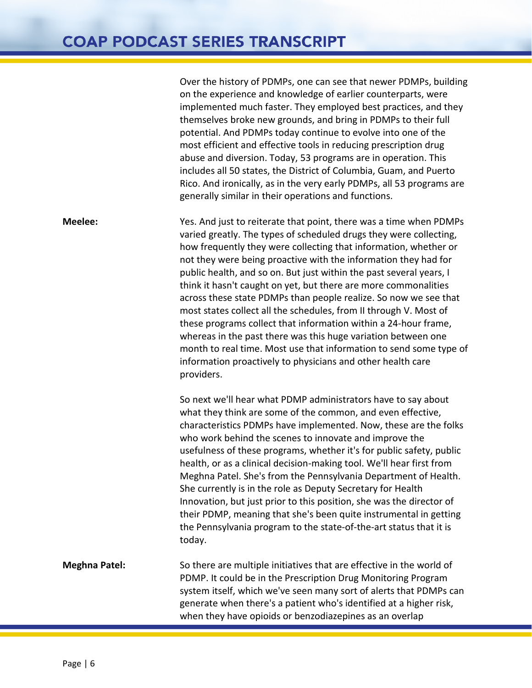Over the history of PDMPs, one can see that newer PDMPs, building on the experience and knowledge of earlier counterparts, were implemented much faster. They employed best practices, and they themselves broke new grounds, and bring in PDMPs to their full potential. And PDMPs today continue to evolve into one of the most efficient and effective tools in reducing prescription drug abuse and diversion. Today, 53 programs are in operation. This includes all 50 states, the District of Columbia, Guam, and Puerto Rico. And ironically, as in the very early PDMPs, all 53 programs are generally similar in their operations and functions. **Meelee:** Yes. And just to reiterate that point, there was a time when PDMPs varied greatly. The types of scheduled drugs they were collecting, how frequently they were collecting that information, whether or not they were being proactive with the information they had for public health, and so on. But just within the past several years, I think it hasn't caught on yet, but there are more commonalities across these state PDMPs than people realize. So now we see that most states collect all the schedules, from II through V. Most of these programs collect that information within a 24-hour frame, whereas in the past there was this huge variation between one month to real time. Most use that information to send some type of information proactively to physicians and other health care providers. So next we'll hear what PDMP administrators have to say about what they think are some of the common, and even effective, characteristics PDMPs have implemented. Now, these are the folks who work behind the scenes to innovate and improve the usefulness of these programs, whether it's for public safety, public health, or as a clinical decision-making tool. We'll hear first from Meghna Patel. She's from the Pennsylvania Department of Health. She currently is in the role as Deputy Secretary for Health Innovation, but just prior to this position, she was the director of their PDMP, meaning that she's been quite instrumental in getting the Pennsylvania program to the state-of-the-art status that it is today. **Meghna Patel:** So there are multiple initiatives that are effective in the world of PDMP. It could be in the Prescription Drug Monitoring Program system itself, which we've seen many sort of alerts that PDMPs can generate when there's a patient who's identified at a higher risk, when they have opioids or benzodiazepines as an overlap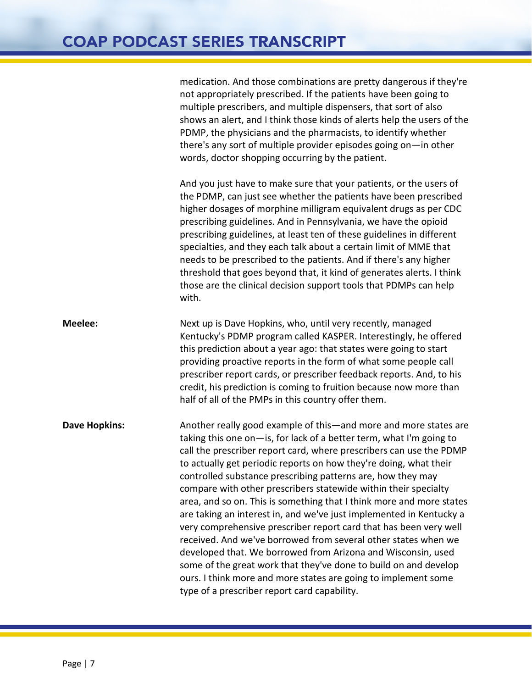## **COAP PODCAST SERIES TRANSCRIPT**

medication. And those combinations are pretty dangerous if they're not appropriately prescribed. If the patients have been going to multiple prescribers, and multiple dispensers, that sort of also shows an alert, and I think those kinds of alerts help the users of the PDMP, the physicians and the pharmacists, to identify whether there's any sort of multiple provider episodes going on—in other words, doctor shopping occurring by the patient.

And you just have to make sure that your patients, or the users of the PDMP, can just see whether the patients have been prescribed higher dosages of morphine milligram equivalent drugs as per CDC prescribing guidelines. And in Pennsylvania, we have the opioid prescribing guidelines, at least ten of these guidelines in different specialties, and they each talk about a certain limit of MME that needs to be prescribed to the patients. And if there's any higher threshold that goes beyond that, it kind of generates alerts. I think those are the clinical decision support tools that PDMPs can help with.

**Meelee:** Next up is Dave Hopkins, who, until very recently, managed Kentucky's PDMP program called KASPER. Interestingly, he offered this prediction about a year ago: that states were going to start providing proactive reports in the form of what some people call prescriber report cards, or prescriber feedback reports. And, to his credit, his prediction is coming to fruition because now more than half of all of the PMPs in this country offer them.

**Dave Hopkins:** Another really good example of this—and more and more states are taking this one on—is, for lack of a better term, what I'm going to call the prescriber report card, where prescribers can use the PDMP to actually get periodic reports on how they're doing, what their controlled substance prescribing patterns are, how they may compare with other prescribers statewide within their specialty area, and so on. This is something that I think more and more states are taking an interest in, and we've just implemented in Kentucky a very comprehensive prescriber report card that has been very well received. And we've borrowed from several other states when we developed that. We borrowed from Arizona and Wisconsin, used some of the great work that they've done to build on and develop ours. I think more and more states are going to implement some type of a prescriber report card capability.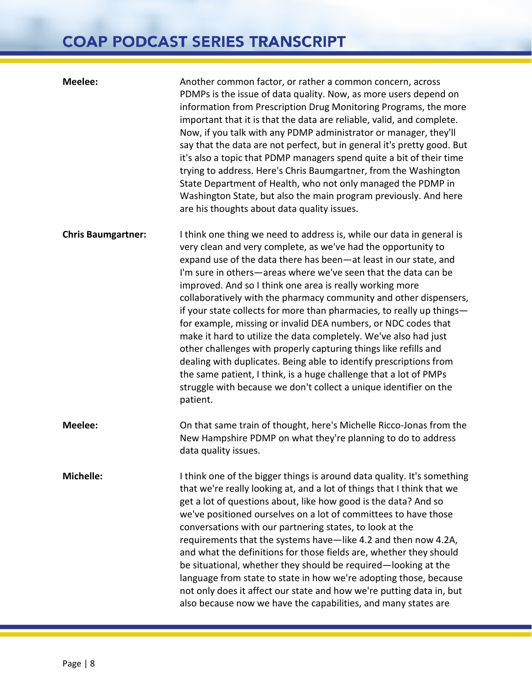## **COAP PODCAST SERIES TRANSCRIPT**

| <b>Meelee:</b>            | Another common factor, or rather a common concern, across<br>PDMPs is the issue of data quality. Now, as more users depend on<br>information from Prescription Drug Monitoring Programs, the more<br>important that it is that the data are reliable, valid, and complete.<br>Now, if you talk with any PDMP administrator or manager, they'll<br>say that the data are not perfect, but in general it's pretty good. But<br>it's also a topic that PDMP managers spend quite a bit of their time<br>trying to address. Here's Chris Baumgartner, from the Washington<br>State Department of Health, who not only managed the PDMP in<br>Washington State, but also the main program previously. And here<br>are his thoughts about data quality issues.                                                                                                                                                                     |
|---------------------------|------------------------------------------------------------------------------------------------------------------------------------------------------------------------------------------------------------------------------------------------------------------------------------------------------------------------------------------------------------------------------------------------------------------------------------------------------------------------------------------------------------------------------------------------------------------------------------------------------------------------------------------------------------------------------------------------------------------------------------------------------------------------------------------------------------------------------------------------------------------------------------------------------------------------------|
| <b>Chris Baumgartner:</b> | I think one thing we need to address is, while our data in general is<br>very clean and very complete, as we've had the opportunity to<br>expand use of the data there has been-at least in our state, and<br>I'm sure in others—areas where we've seen that the data can be<br>improved. And so I think one area is really working more<br>collaboratively with the pharmacy community and other dispensers,<br>if your state collects for more than pharmacies, to really up things-<br>for example, missing or invalid DEA numbers, or NDC codes that<br>make it hard to utilize the data completely. We've also had just<br>other challenges with properly capturing things like refills and<br>dealing with duplicates. Being able to identify prescriptions from<br>the same patient, I think, is a huge challenge that a lot of PMPs<br>struggle with because we don't collect a unique identifier on the<br>patient. |
| <b>Meelee:</b>            | On that same train of thought, here's Michelle Ricco-Jonas from the<br>New Hampshire PDMP on what they're planning to do to address<br>data quality issues.                                                                                                                                                                                                                                                                                                                                                                                                                                                                                                                                                                                                                                                                                                                                                                  |
| <b>Michelle:</b>          | I think one of the bigger things is around data quality. It's something<br>that we're really looking at, and a lot of things that I think that we<br>get a lot of questions about, like how good is the data? And so<br>we've positioned ourselves on a lot of committees to have those<br>conversations with our partnering states, to look at the<br>requirements that the systems have—like 4.2 and then now 4.2A,<br>and what the definitions for those fields are, whether they should<br>be situational, whether they should be required-looking at the<br>language from state to state in how we're adopting those, because<br>not only does it affect our state and how we're putting data in, but<br>also because now we have the capabilities, and many states are                                                                                                                                                 |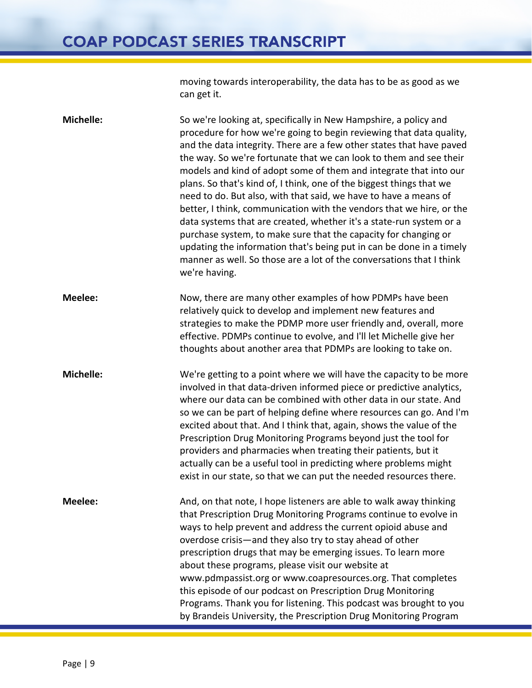moving towards interoperability, the data has to be as good as we can get it.

**Michelle:** So we're looking at, specifically in New Hampshire, a policy and procedure for how we're going to begin reviewing that data quality, and the data integrity. There are a few other states that have paved the way. So we're fortunate that we can look to them and see their models and kind of adopt some of them and integrate that into our plans. So that's kind of, I think, one of the biggest things that we need to do. But also, with that said, we have to have a means of better, I think, communication with the vendors that we hire, or the data systems that are created, whether it's a state-run system or a purchase system, to make sure that the capacity for changing or updating the information that's being put in can be done in a timely manner as well. So those are a lot of the conversations that I think we're having. **Meelee:** Now, there are many other examples of how PDMPs have been relatively quick to develop and implement new features and strategies to make the PDMP more user friendly and, overall, more effective. PDMPs continue to evolve, and I'll let Michelle give her thoughts about another area that PDMPs are looking to take on. **Michelle:** We're getting to a point where we will have the capacity to be more involved in that data-driven informed piece or predictive analytics, where our data can be combined with other data in our state. And so we can be part of helping define where resources can go. And I'm excited about that. And I think that, again, shows the value of the Prescription Drug Monitoring Programs beyond just the tool for providers and pharmacies when treating their patients, but it actually can be a useful tool in predicting where problems might exist in our state, so that we can put the needed resources there. **Meelee:** And, on that note, I hope listeners are able to walk away thinking that Prescription Drug Monitoring Programs continue to evolve in ways to help prevent and address the current opioid abuse and overdose crisis—and they also try to stay ahead of other prescription drugs that may be emerging issues. To learn more about these programs, please visit our website at www.pdmpassist.org or www.coapresources.org. That completes this episode of our podcast on Prescription Drug Monitoring Programs. Thank you for listening. This podcast was brought to you by Brandeis University, the Prescription Drug Monitoring Program